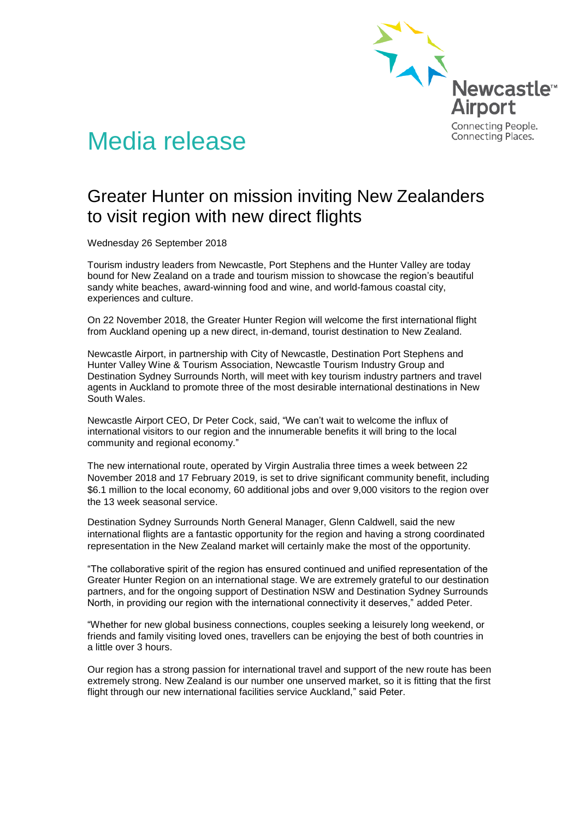

## Media release

## Greater Hunter on mission inviting New Zealanders to visit region with new direct flights

Wednesday 26 September 2018

Tourism industry leaders from Newcastle, Port Stephens and the Hunter Valley are today bound for New Zealand on a trade and tourism mission to showcase the region's beautiful sandy white beaches, award-winning food and wine, and world-famous coastal city, experiences and culture.

On 22 November 2018, the Greater Hunter Region will welcome the first international flight from Auckland opening up a new direct, in-demand, tourist destination to New Zealand.

Newcastle Airport, in partnership with City of Newcastle, Destination Port Stephens and Hunter Valley Wine & Tourism Association, Newcastle Tourism Industry Group and Destination Sydney Surrounds North, will meet with key tourism industry partners and travel agents in Auckland to promote three of the most desirable international destinations in New South Wales.

Newcastle Airport CEO, Dr Peter Cock, said, "We can't wait to welcome the influx of international visitors to our region and the innumerable benefits it will bring to the local community and regional economy."

The new international route, operated by Virgin Australia three times a week between 22 November 2018 and 17 February 2019, is set to drive significant community benefit, including \$6.1 million to the local economy, 60 additional jobs and over 9,000 visitors to the region over the 13 week seasonal service.

Destination Sydney Surrounds North General Manager, Glenn Caldwell, said the new international flights are a fantastic opportunity for the region and having a strong coordinated representation in the New Zealand market will certainly make the most of the opportunity.

"The collaborative spirit of the region has ensured continued and unified representation of the Greater Hunter Region on an international stage. We are extremely grateful to our destination partners, and for the ongoing support of Destination NSW and Destination Sydney Surrounds North, in providing our region with the international connectivity it deserves," added Peter.

"Whether for new global business connections, couples seeking a leisurely long weekend, or friends and family visiting loved ones, travellers can be enjoying the best of both countries in a little over 3 hours.

Our region has a strong passion for international travel and support of the new route has been extremely strong. New Zealand is our number one unserved market, so it is fitting that the first flight through our new international facilities service Auckland," said Peter.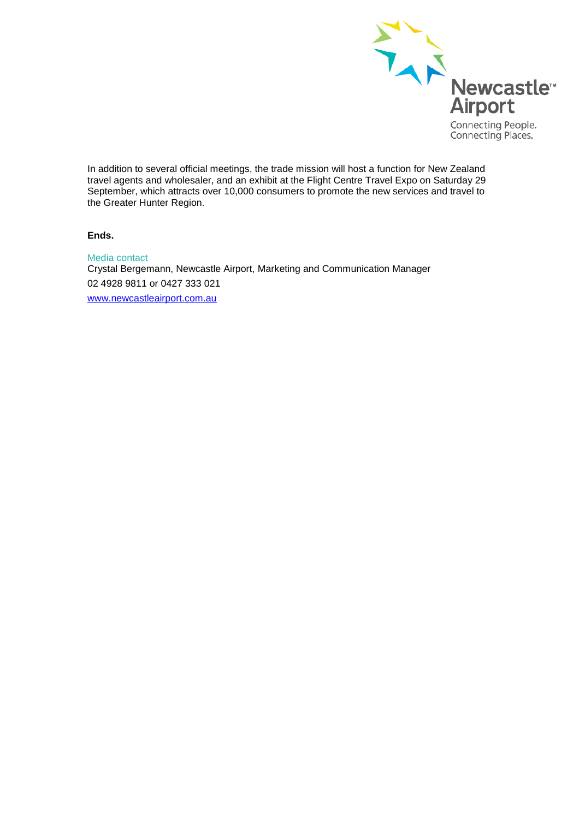

In addition to several official meetings, the trade mission will host a function for New Zealand travel agents and wholesaler, and an exhibit at the Flight Centre Travel Expo on Saturday 29 September, which attracts over 10,000 consumers to promote the new services and travel to the Greater Hunter Region.

**Ends.**

Media contact Crystal Bergemann, Newcastle Airport, Marketing and Communication Manager 02 4928 9811 or 0427 333 021 [www.newcastleairport.com.au](http://www.newcastleairport.com.au/)